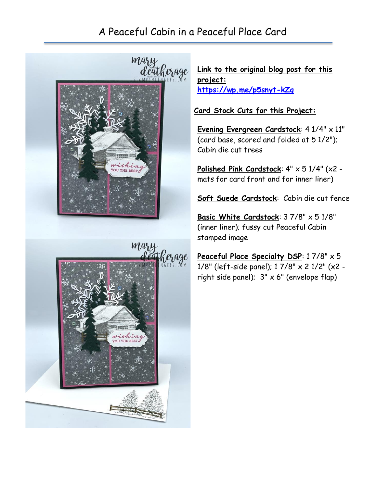## A Peaceful Cabin in a Peaceful Place Card



**Link to the original blog post for this project: <https://wp.me/p5snyt-kZq>**

**Card Stock Cuts for this Project:**

**Evening Evergreen Cardstock**: 4 1/4" x 11" (card base, scored and folded at 5 1/2"); Cabin die cut trees

**Polished Pink Cardstock**: 4" x 5 1/4" (x2 mats for card front and for inner liner)

**Soft Suede Cardstock**: Cabin die cut fence

**Basic White Cardstock**: 3 7/8" x 5 1/8" (inner liner); fussy cut Peaceful Cabin stamped image

**Peaceful Place Specialty DSP**: 1 7/8" x 5 1/8" (left-side panel); 1 7/8" x 2 1/2" (x2 right side panel);  $3'' \times 6''$  (envelope flap)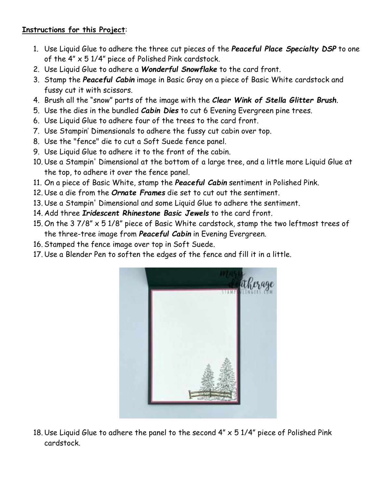## **Instructions for this Project**:

- 1. Use Liquid Glue to adhere the three cut pieces of the *Peaceful Place Specialty DSP* to one of the 4" x 5 1/4" piece of Polished Pink cardstock.
- 2. Use Liquid Glue to adhere a *Wonderful Snowflake* to the card front.
- 3. Stamp the *Peaceful Cabin* image in Basic Gray on a piece of Basic White cardstock and fussy cut it with scissors.
- 4. Brush all the "snow" parts of the image with the *Clear Wink of Stella Glitter Brush*.
- 5. Use the dies in the bundled *Cabin Dies* to cut 6 Evening Evergreen pine trees.
- 6. Use Liquid Glue to adhere four of the trees to the card front.
- 7. Use Stampin' Dimensionals to adhere the fussy cut cabin over top.
- 8. Use the "fence" die to cut a Soft Suede fence panel.
- 9. Use Liquid Glue to adhere it to the front of the cabin.
- 10. Use a Stampin' Dimensional at the bottom of a large tree, and a little more Liquid Glue at the top, to adhere it over the fence panel.
- 11. On a piece of Basic White, stamp the *Peaceful Cabin* sentiment in Polished Pink.
- 12. Use a die from the *Ornate Frames* die set to cut out the sentiment.
- 13. Use a Stampin' Dimensional and some Liquid Glue to adhere the sentiment.
- 14. Add three *Iridescent Rhinestone Basic Jewels* to the card front.
- 15. On the 3 7/8" x 5 1/8" piece of Basic White cardstock, stamp the two leftmost trees of the three-tree image from *Peaceful Cabin* in Evening Evergreen.
- 16. Stamped the fence image over top in Soft Suede.
- 17. Use a Blender Pen to soften the edges of the fence and fill it in a little.



18. Use Liquid Glue to adhere the panel to the second  $4'' \times 51/4''$  piece of Polished Pink cardstock.